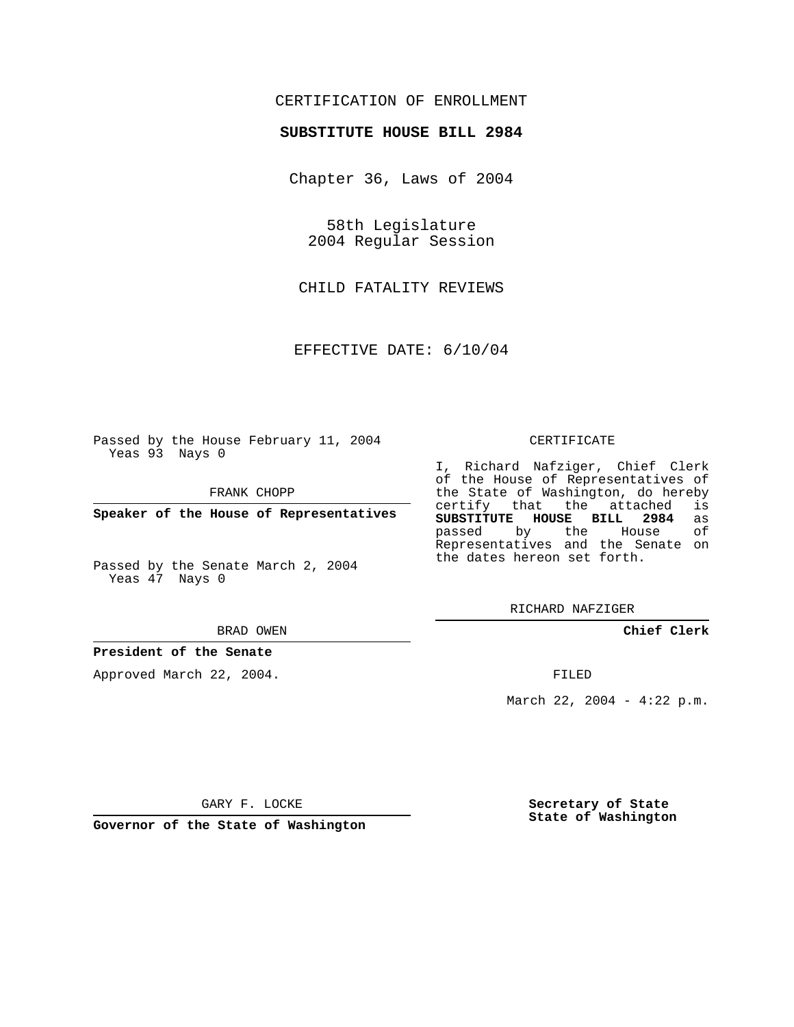### CERTIFICATION OF ENROLLMENT

#### **SUBSTITUTE HOUSE BILL 2984**

Chapter 36, Laws of 2004

58th Legislature 2004 Regular Session

CHILD FATALITY REVIEWS

EFFECTIVE DATE: 6/10/04

Passed by the House February 11, 2004 Yeas 93 Nays 0

FRANK CHOPP

**Speaker of the House of Representatives**

Passed by the Senate March 2, 2004 Yeas 47 Nays 0

#### BRAD OWEN

### **President of the Senate**

Approved March 22, 2004.

#### CERTIFICATE

I, Richard Nafziger, Chief Clerk of the House of Representatives of the State of Washington, do hereby<br>certify that the attached is certify that the attached **SUBSTITUTE HOUSE BILL 2984** as passed by the House Representatives and the Senate on the dates hereon set forth.

RICHARD NAFZIGER

**Chief Clerk**

FILED

March 22, 2004 - 4:22 p.m.

GARY F. LOCKE

**Governor of the State of Washington**

**Secretary of State State of Washington**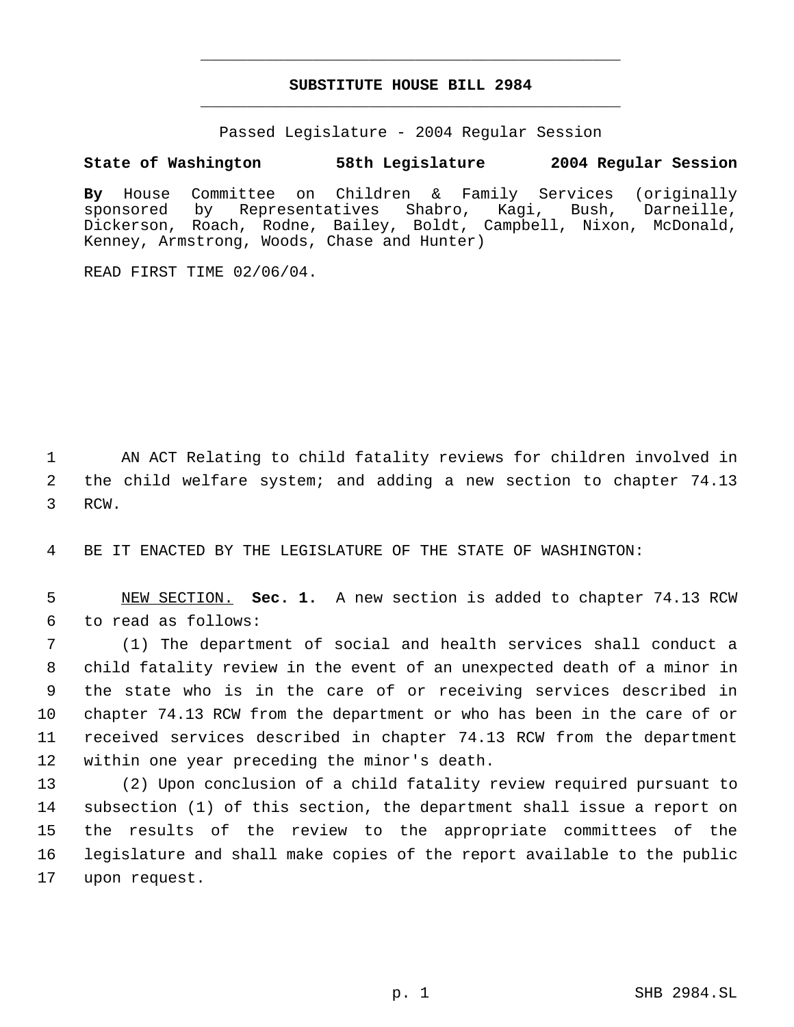# **SUBSTITUTE HOUSE BILL 2984** \_\_\_\_\_\_\_\_\_\_\_\_\_\_\_\_\_\_\_\_\_\_\_\_\_\_\_\_\_\_\_\_\_\_\_\_\_\_\_\_\_\_\_\_\_

\_\_\_\_\_\_\_\_\_\_\_\_\_\_\_\_\_\_\_\_\_\_\_\_\_\_\_\_\_\_\_\_\_\_\_\_\_\_\_\_\_\_\_\_\_

Passed Legislature - 2004 Regular Session

## **State of Washington 58th Legislature 2004 Regular Session**

**By** House Committee on Children & Family Services (originally sponsored by Representatives Shabro, Kagi, Bush, Darneille, Dickerson, Roach, Rodne, Bailey, Boldt, Campbell, Nixon, McDonald, Kenney, Armstrong, Woods, Chase and Hunter)

READ FIRST TIME 02/06/04.

 AN ACT Relating to child fatality reviews for children involved in the child welfare system; and adding a new section to chapter 74.13 RCW.

BE IT ENACTED BY THE LEGISLATURE OF THE STATE OF WASHINGTON:

 NEW SECTION. **Sec. 1.** A new section is added to chapter 74.13 RCW to read as follows:

 (1) The department of social and health services shall conduct a child fatality review in the event of an unexpected death of a minor in the state who is in the care of or receiving services described in chapter 74.13 RCW from the department or who has been in the care of or received services described in chapter 74.13 RCW from the department within one year preceding the minor's death.

 (2) Upon conclusion of a child fatality review required pursuant to subsection (1) of this section, the department shall issue a report on the results of the review to the appropriate committees of the legislature and shall make copies of the report available to the public upon request.